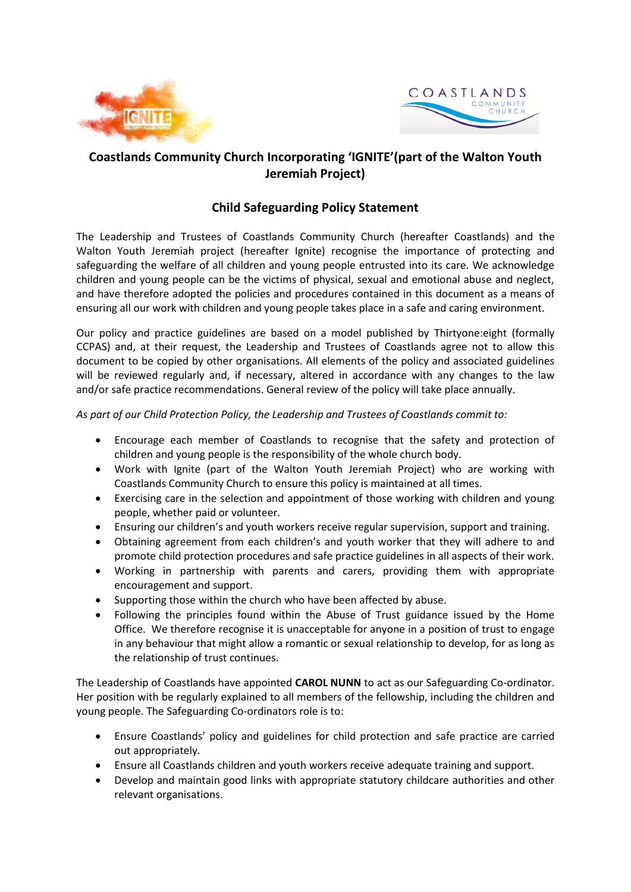



## **Coastlands Community Church Incorporating 'IGNITE'(part of the Walton Youth Jeremiah Project)**

## **Child Safeguarding Policy Statement**

The Leadership and Trustees of Coastlands Community Church (hereafter Coastlands) and the Walton Youth Jeremiah project (hereafter Ignite) recognise the importance of protecting and safeguarding the welfare of all children and young people entrusted into its care. We acknowledge children and young people can be the victims of physical, sexual and emotional abuse and neglect, and have therefore adopted the policies and procedures contained in this document as a means of ensuring all our work with children and young people takes place in a safe and caring environment.

Our policy and practice guidelines are based on a model published by Thirtyone:eight (formally CCPAS) and, at their request, the Leadership and Trustees of Coastlands agree not to allow this document to be copied by other organisations. All elements of the policy and associated guidelines will be reviewed regularly and, if necessary, altered in accordance with any changes to the law and/or safe practice recommendations. General review of the policy will take place annually.

*As part of our Child Protection Policy, the Leadership and Trustees of Coastlands commit to:*

- Encourage each member of Coastlands to recognise that the safety and protection of children and young people is the responsibility of the whole church body.
- Work with Ignite (part of the Walton Youth Jeremiah Project) who are working with Coastlands Community Church to ensure this policy is maintained at all times.
- Exercising care in the selection and appointment of those working with children and young people, whether paid or volunteer.
- Ensuring our children's and youth workers receive regular supervision, support and training.
- Obtaining agreement from each children's and youth worker that they will adhere to and promote child protection procedures and safe practice guidelines in all aspects of their work.
- Working in partnership with parents and carers, providing them with appropriate encouragement and support.
- Supporting those within the church who have been affected by abuse.
- Following the principles found within the Abuse of Trust guidance issued by the Home Office. We therefore recognise it is unacceptable for anyone in a position of trust to engage in any behaviour that might allow a romantic or sexual relationship to develop, for as long as the relationship of trust continues.

The Leadership of Coastlands have appointed **CAROL NUNN** to act as our Safeguarding Co-ordinator. Her position with be regularly explained to all members of the fellowship, including the children and young people. The Safeguarding Co-ordinators role is to:

- Ensure Coastlands' policy and guidelines for child protection and safe practice are carried out appropriately.
- Ensure all Coastlands children and youth workers receive adequate training and support.
- Develop and maintain good links with appropriate statutory childcare authorities and other relevant organisations.